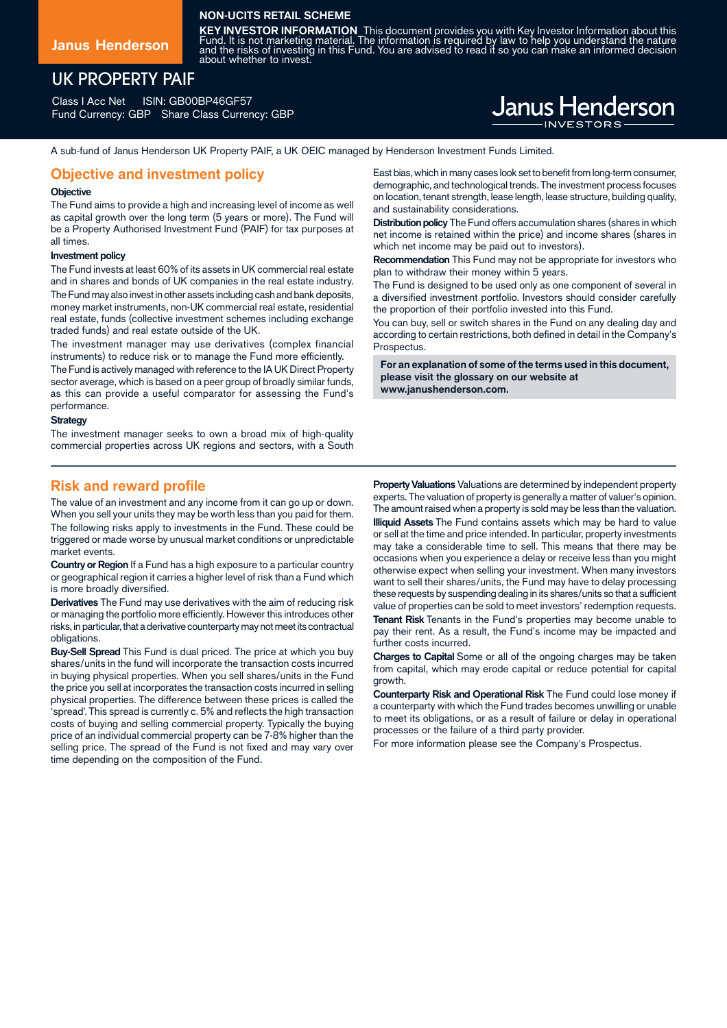## **NON-UCITS RETAIL SCHEME**

about whether to invest.

**Janus Henderson**

# UK PROPERTY PAIF

Class I Acc Net ISIN: GB00BP46GF57 Fund Currency: GBP Share Class Currency: GBP

# **Janus Henderson**

**KEY INVESTOR INFORMATION** This document provides you with Key Investor Information about this<br>Fund. It is not marketing material. The information is required by law to help you understand the nature<br>and the risks of inves

A sub-fund of Janus Henderson UK Property PAIF, a UK OEIC managed by Henderson Investment Funds Limited.

## **Objective and investment policy**

### **Objective**

The Fund aims to provide a high and increasing level of income as well as capital growth over the long term (5 years or more). The Fund will be a Property Authorised Investment Fund (PAIF) for tax purposes at all times.

#### **Investment policy**

The Fund invests at least 60% of its assets in UK commercial real estate and in shares and bonds of UK companies in the real estate industry. The Fund may also invest in other assets including cash and bank deposits, money market instruments, non-UK commercial real estate, residential real estate, funds (collective investment schemes including exchange traded funds) and real estate outside of the UK.

The investment manager may use derivatives (complex financial instruments) to reduce risk or to manage the Fund more efficiently.

The Fund is actively managed with reference to the IA UK Direct Property sector average, which is based on a peer group of broadly similar funds, as this can provide a useful comparator for assessing the Fund's performance.

#### **Strategy**

The investment manager seeks to own a broad mix of high-quality commercial properties across UK regions and sectors, with a South

# **Risk and reward profile**

The value of an investment and any income from it can go up or down. When you sell your units they may be worth less than you paid for them. The following risks apply to investments in the Fund. These could be triggered or made worse by unusual market conditions or unpredictable market events.

**Country or Region** If a Fund has a high exposure to a particular country or geographical region it carries a higher level of risk than a Fund which is more broadly diversified.

**Derivatives** The Fund may use derivatives with the aim of reducing risk or managing the portfolio more efficiently. However this introduces other risks, in particular, that a derivative counterparty may not meet its contractual obligations.

**Buy-Sell Spread** This Fund is dual priced. The price at which you buy shares/units in the fund will incorporate the transaction costs incurred in buying physical properties. When you sell shares/units in the Fund the price you sell at incorporates the transaction costs incurred in selling physical properties. The difference between these prices is called the 'spread'. This spread is currently c. 5% and reflects the high transaction costs of buying and selling commercial property. Typically the buying price of an individual commercial property can be 7-8% higher than the selling price. The spread of the Fund is not fixed and may vary over time depending on the composition of the Fund.

East bias, which in many cases look set to benefit from long-term consumer, demographic, and technological trends. The investment process focuses on location, tenant strength, lease length, lease structure, building quality, and sustainability considerations.

**Distribution policy** The Fund offers accumulation shares (shares in which net income is retained within the price) and income shares (shares in which net income may be paid out to investors).

**Recommendation** This Fund may not be appropriate for investors who plan to withdraw their money within 5 years.

The Fund is designed to be used only as one component of several in a diversified investment portfolio. Investors should consider carefully the proportion of their portfolio invested into this Fund.

You can buy, sell or switch shares in the Fund on any dealing day and according to certain restrictions, both defined in detail in the Company's Prospectus.

**For an explanation of some of the terms used in this document, please visit the glossary on our website at www.janushenderson.com.**

**Property Valuations** Valuations are determined by independent property experts. The valuation of property is generally a matter of valuer's opinion. The amount raised when a property is sold may be less than the valuation. **Illiquid Assets** The Fund contains assets which may be hard to value or sell at the time and price intended. In particular, property investments may take a considerable time to sell. This means that there may be occasions when you experience a delay or receive less than you might otherwise expect when selling your investment. When many investors want to sell their shares/units, the Fund may have to delay processing these requests by suspending dealing in its shares/units so that a sufficient value of properties can be sold to meet investors' redemption requests. **Tenant Risk** Tenants in the Fund's properties may become unable to pay their rent. As a result, the Fund's income may be impacted and further costs incurred.

**Charges to Capital** Some or all of the ongoing charges may be taken from capital, which may erode capital or reduce potential for capital growth.

**Counterparty Risk and Operational Risk** The Fund could lose money if a counterparty with which the Fund trades becomes unwilling or unable to meet its obligations, or as a result of failure or delay in operational processes or the failure of a third party provider.

For more information please see the Company's Prospectus.